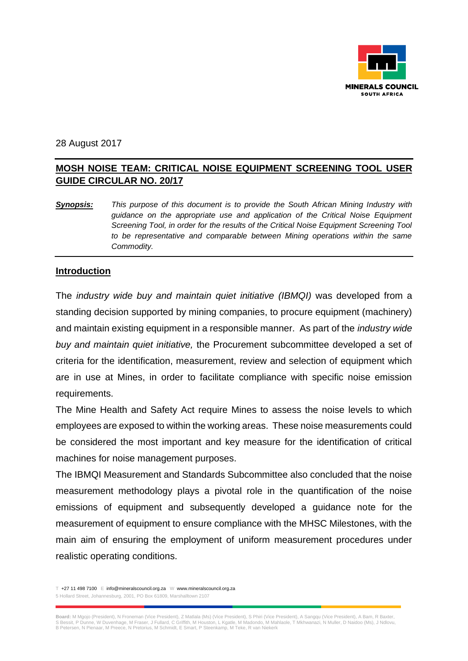

28 August 2017

# **MOSH NOISE TEAM: CRITICAL NOISE EQUIPMENT SCREENING TOOL USER GUIDE CIRCULAR NO. 20/17**

*Synopsis: This purpose of this document is to provide the South African Mining Industry with guidance on the appropriate use and application of the Critical Noise Equipment Screening Tool, in order for the results of the Critical Noise Equipment Screening Tool to be representative and comparable between Mining operations within the same Commodity.*

#### **Introduction**

The *industry wide buy and maintain quiet initiative (IBMQI)* was developed from a standing decision supported by mining companies, to procure equipment (machinery) and maintain existing equipment in a responsible manner. As part of the *industry wide buy and maintain quiet initiative,* the Procurement subcommittee developed a set of criteria for the identification, measurement, review and selection of equipment which are in use at Mines, in order to facilitate compliance with specific noise emission requirements.

The Mine Health and Safety Act require Mines to assess the noise levels to which employees are exposed to within the working areas. These noise measurements could be considered the most important and key measure for the identification of critical machines for noise management purposes.

The IBMQI Measurement and Standards Subcommittee also concluded that the noise measurement methodology plays a pivotal role in the quantification of the noise emissions of equipment and subsequently developed a guidance note for the measurement of equipment to ensure compliance with the MHSC Milestones, with the main aim of ensuring the employment of uniform measurement procedures under realistic operating conditions.

T +27 11 498 7100 E info@mineralscouncil.org.za W www.mineralscouncil.org.za 5 Hollard Street, Johannesburg, 2001, PO Box 61809, Marshalltown 2107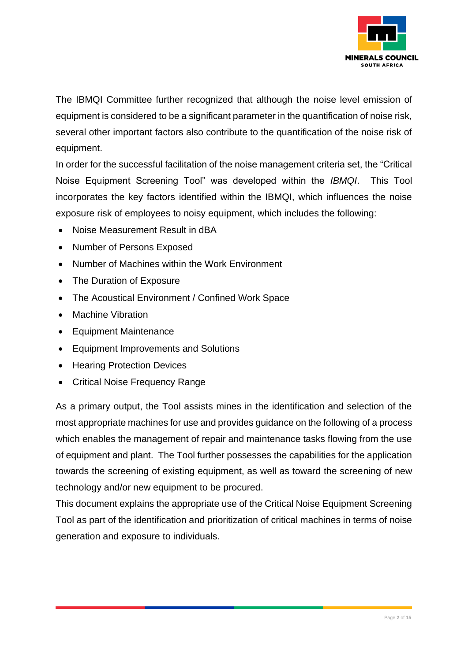

The IBMQI Committee further recognized that although the noise level emission of equipment is considered to be a significant parameter in the quantification of noise risk, several other important factors also contribute to the quantification of the noise risk of equipment.

In order for the successful facilitation of the noise management criteria set, the "Critical Noise Equipment Screening Tool" was developed within the *IBMQI*. This Tool incorporates the key factors identified within the IBMQI, which influences the noise exposure risk of employees to noisy equipment, which includes the following:

- Noise Measurement Result in dBA
- Number of Persons Exposed
- Number of Machines within the Work Environment
- The Duration of Exposure
- The Acoustical Environment / Confined Work Space
- Machine Vibration
- Equipment Maintenance
- Equipment Improvements and Solutions
- Hearing Protection Devices
- Critical Noise Frequency Range

As a primary output, the Tool assists mines in the identification and selection of the most appropriate machines for use and provides guidance on the following of a process which enables the management of repair and maintenance tasks flowing from the use of equipment and plant. The Tool further possesses the capabilities for the application towards the screening of existing equipment, as well as toward the screening of new technology and/or new equipment to be procured.

This document explains the appropriate use of the Critical Noise Equipment Screening Tool as part of the identification and prioritization of critical machines in terms of noise generation and exposure to individuals.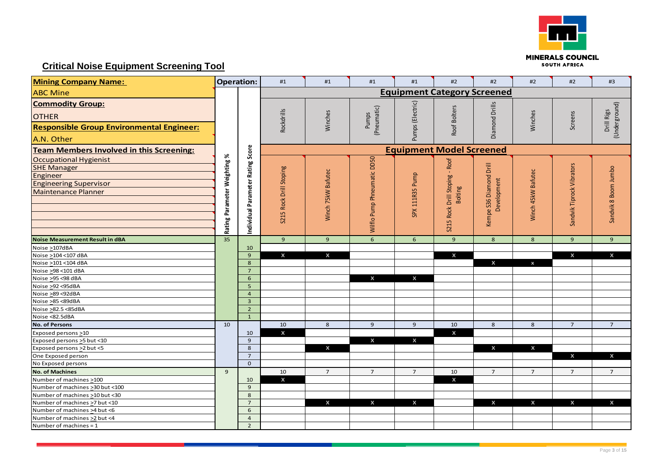

# **Critical Noise Equipment Screening Tool**

| <b>Mining Company Name:</b>                                                                                             |                              | <b>Operation:</b>                 | #1                                 | #1                 | #1                          | #1                 | #2                                               | #2                                     | #2                 | #2                        | #3                          |  |  |
|-------------------------------------------------------------------------------------------------------------------------|------------------------------|-----------------------------------|------------------------------------|--------------------|-----------------------------|--------------------|--------------------------------------------------|----------------------------------------|--------------------|---------------------------|-----------------------------|--|--|
| <b>ABC Mine</b>                                                                                                         |                              |                                   | <b>Equipment Category Screened</b> |                    |                             |                    |                                                  |                                        |                    |                           |                             |  |  |
| <b>Commodity Group:</b><br><b>OTHER</b><br><b>Responsible Group Environmental Engineer:</b><br>A.N. Other               |                              |                                   | Rockdrills                         | Winches            | (Pneumatic)<br>Pumps        | Pumps (Electric)   | Roof Bolters                                     | Diamond Drills                         | Winches            | Screens                   | (Underground)<br>Drill Rigs |  |  |
| <b>Team Members Involved in this Screening:</b>                                                                         |                              |                                   | <b>Equipment Model Screened</b>    |                    |                             |                    |                                                  |                                        |                    |                           |                             |  |  |
| Occupational Hygienist<br><b>SHE Manager</b><br>Engineer<br><b>Engineering Supervisor</b><br><b>Maintenance Planner</b> | Rating Parameter Weighting % | Individual Parameter Rating Score | S215 Rock Drill Stoping            | Winch 75kW Bafutec | Wilflo Pump Phneumatic DD50 | SPX 111R35 Pump    | S215 Rock Drill Stoping - Roof<br><b>Bolting</b> | Kempe S36 Diamond Drill<br>Development | Winch 45kW Bafutec | Sandvik Tiprock Vibrators | Sandvik 8 Boom Jumbo        |  |  |
| <b>Noise Measurement Result in dBA</b>                                                                                  | 35                           |                                   | 9                                  | 9 <sup>°</sup>     | $6\overline{6}$             | 6 <sup>1</sup>     | 9 <sup>°</sup>                                   | 8 <sup>°</sup>                         | 8                  | 9                         | $\overline{9}$              |  |  |
| Noise >107dBA                                                                                                           |                              | 10                                |                                    |                    |                             |                    |                                                  |                                        |                    |                           |                             |  |  |
| Noise >104 <107 dBA                                                                                                     |                              | $\mathbf{9}$                      | $\mathsf{x}$                       | $\pmb{\mathsf{X}}$ |                             |                    | $\pmb{\mathsf{x}}$                               |                                        |                    | $\mathsf{x}$              | $\boldsymbol{\mathsf{x}}$   |  |  |
| Noise >101 <104 dBA                                                                                                     |                              | 8                                 |                                    |                    |                             |                    |                                                  | $\mathsf{x}$                           | $\mathbf{x}$       |                           |                             |  |  |
| Noise >98 <101 dBA                                                                                                      |                              | $\overline{7}$                    |                                    |                    |                             |                    |                                                  |                                        |                    |                           |                             |  |  |
| Noise >95 <98 dBA                                                                                                       |                              | 6                                 |                                    |                    | $\mathsf{x}$                | $\pmb{\mathsf{x}}$ |                                                  |                                        |                    |                           |                             |  |  |
| Noise >92 <95dBA                                                                                                        |                              | $\overline{5}$                    |                                    |                    |                             |                    |                                                  |                                        |                    |                           |                             |  |  |
| Noise >89 <92dBA                                                                                                        |                              | $\overline{4}$                    |                                    |                    |                             |                    |                                                  |                                        |                    |                           |                             |  |  |
| Noise >85 <89dBA                                                                                                        |                              | $\overline{3}$                    |                                    |                    |                             |                    |                                                  |                                        |                    |                           |                             |  |  |
| Noise >82.5 <85dBA                                                                                                      |                              | $\overline{2}$                    |                                    |                    |                             |                    |                                                  |                                        |                    |                           |                             |  |  |
| Noise <82.5dBA                                                                                                          |                              | $\mathbf{1}$                      |                                    |                    |                             |                    |                                                  |                                        |                    |                           |                             |  |  |
| <b>No. of Persons</b>                                                                                                   | 10                           |                                   | $10\,$                             | 8                  | $\overline{9}$              | 9 <sup>°</sup>     | $10\,$                                           | $8\phantom{1}$                         | 8                  | $\overline{7}$            | $\overline{7}$              |  |  |
| Exposed persons >10                                                                                                     |                              | 10                                | $\boldsymbol{\mathsf{x}}$          |                    |                             |                    | X                                                |                                        |                    |                           |                             |  |  |
| Exposed persons > 5 but < 10                                                                                            |                              | 9                                 |                                    |                    | $\mathsf{x}$                | $\mathsf{x}$       |                                                  |                                        |                    |                           |                             |  |  |
| Exposed persons >2 but <5                                                                                               |                              | 8                                 |                                    | $\mathsf{x}$       |                             |                    |                                                  | $\mathsf{x}$                           | $\mathsf{x}$       |                           |                             |  |  |
| One Exposed person                                                                                                      |                              | $\overline{7}$<br>$\overline{0}$  |                                    |                    |                             |                    |                                                  |                                        |                    | $\boldsymbol{\mathsf{x}}$ | $\mathsf{x}$                |  |  |
| No Exposed persons                                                                                                      |                              |                                   |                                    |                    |                             |                    |                                                  |                                        |                    |                           |                             |  |  |
| <b>No. of Machines</b>                                                                                                  | $\overline{9}$               |                                   | 10                                 | $\overline{7}$     | $\overline{7}$              | $\overline{7}$     | $10\,$                                           | $\overline{7}$                         | $\overline{7}$     | $\overline{7}$            | $\overline{7}$              |  |  |
| Number of machines >100                                                                                                 |                              | 10                                | $\mathsf{x}$                       |                    |                             |                    | X                                                |                                        |                    |                           |                             |  |  |
| Number of machines > 30 but < 100                                                                                       |                              | 9                                 |                                    |                    |                             |                    |                                                  |                                        |                    |                           |                             |  |  |
| Number of machines >10 but <30<br>Number of machines >7 but <10                                                         |                              | 8<br>$\overline{7}$               |                                    | $\mathsf{x}$       | $\mathsf{x}$                | $\mathsf{x}$       |                                                  | $\mathbf{x}$                           | $\mathbf{x}$       | $\mathsf{x}$              | $\mathbf{x}$                |  |  |
| Number of machines > 4 but <6                                                                                           |                              | 6                                 |                                    |                    |                             |                    |                                                  |                                        |                    |                           |                             |  |  |
| Number of machines >2 but <4                                                                                            |                              | $\overline{4}$                    |                                    |                    |                             |                    |                                                  |                                        |                    |                           |                             |  |  |
| Number of machines = 1                                                                                                  |                              | $\overline{2}$                    |                                    |                    |                             |                    |                                                  |                                        |                    |                           |                             |  |  |
|                                                                                                                         |                              |                                   |                                    |                    |                             |                    |                                                  |                                        |                    |                           |                             |  |  |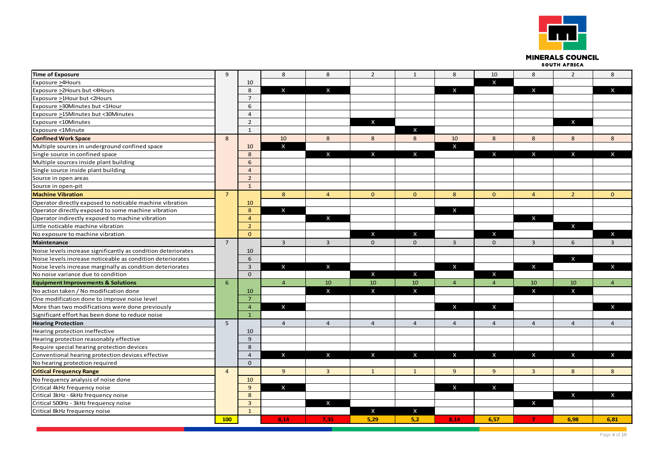

**MINERALS COUNCIL** SOUTH AFRICA

| <b>Time of Exposure</b>                                       | 9              |                 | 8              | 8                       | $\overline{2}$            | $\mathbf{1}$              | 8                         | 10                        | 8                         | $\overline{2}$            | 8                         |
|---------------------------------------------------------------|----------------|-----------------|----------------|-------------------------|---------------------------|---------------------------|---------------------------|---------------------------|---------------------------|---------------------------|---------------------------|
| Exposure >4Hours                                              |                | 10              |                |                         |                           |                           |                           | X                         |                           |                           |                           |
| Exposure >2Hours but <4Hours                                  |                | 8               | $\mathsf{x}$   | X                       |                           |                           | $\boldsymbol{\mathsf{x}}$ |                           | $\boldsymbol{\mathsf{x}}$ |                           | X                         |
| Exposure >1Hour but <2Hours                                   |                | $\overline{7}$  |                |                         |                           |                           |                           |                           |                           |                           |                           |
| Exposure >30Minutes but <1Hour                                |                | 6               |                |                         |                           |                           |                           |                           |                           |                           |                           |
| Exposure >15Minutes but <30Minutes                            |                | $\overline{4}$  |                |                         |                           |                           |                           |                           |                           |                           |                           |
| Exposure <10Minutes                                           |                | $\overline{2}$  |                |                         | $\mathsf{x}$              |                           |                           |                           |                           | $\mathbf{x}$              |                           |
| Exposure <1Minute                                             |                | $\mathbf{1}$    |                |                         |                           | X                         |                           |                           |                           |                           |                           |
| <b>Confined Work Space</b>                                    | 8              |                 | 10             | 8                       | 8                         | 8                         | 10                        | 8                         | 8                         | 8                         | 8                         |
| Multiple sources in underground confined space                |                | 10              | $\mathsf{x}$   |                         |                           |                           | $\mathsf{x}$              |                           |                           |                           |                           |
| Single source in confined space                               |                | 8               |                | $\mathsf{x}$            | $\mathsf{x}$              | $\mathsf{x}$              |                           | $\boldsymbol{\mathsf{x}}$ | $\mathsf{x}$              | $\mathsf{x}$              | $\mathsf{x}$              |
| Multiple sources inside plant building                        |                | 6               |                |                         |                           |                           |                           |                           |                           |                           |                           |
| Single source inside plant building                           |                | $\overline{4}$  |                |                         |                           |                           |                           |                           |                           |                           |                           |
| Source in open areas                                          |                | 2               |                |                         |                           |                           |                           |                           |                           |                           |                           |
| Source in open-pit                                            |                | $\mathbf{1}$    |                |                         |                           |                           |                           |                           |                           |                           |                           |
| <b>Machine Vibration</b>                                      | $\overline{7}$ |                 | $8\phantom{1}$ | $\overline{4}$          | $\mathbf{0}$              | $\mathbf{0}$              | 8                         | $\mathbf{0}$              | $\overline{4}$            | 2 <sup>2</sup>            | $\mathbf{0}$              |
| Operator directly exposed to noticable machine vibration      |                | 10              |                |                         |                           |                           |                           |                           |                           |                           |                           |
| Operator directly exposed to some machine vibration           |                | 8               | $\mathsf{x}$   |                         |                           |                           | $\mathsf{x}$              |                           |                           |                           |                           |
| Operator indirectly exposed to machine vibration              |                | $\overline{4}$  |                | $\pmb{\mathsf{X}}$      |                           |                           |                           |                           | $\boldsymbol{\mathsf{x}}$ |                           |                           |
| Little noticable machine vibration                            |                | $\overline{2}$  |                |                         |                           |                           |                           |                           |                           | $\mathsf{x}$              |                           |
| No exposure to machine vibration                              |                | $\mathbf{0}$    |                |                         | X                         | $\boldsymbol{\mathsf{x}}$ |                           | X                         |                           |                           | $\boldsymbol{\mathsf{x}}$ |
| <b>Maintenance</b>                                            | $\overline{7}$ |                 | $\overline{3}$ | $\overline{3}$          | $\mathbf{0}$              | $\mathbf 0$               | $\overline{3}$            | $\mathbf 0$               | $\overline{3}$            | 6                         | $\overline{3}$            |
| Noise levels increase significantly as condition deteriorates |                | 10              |                |                         |                           |                           |                           |                           |                           |                           |                           |
| Noise levels increase noticeable as condition deteriorates    |                | 6               |                |                         |                           |                           |                           |                           |                           | $\boldsymbol{\mathsf{x}}$ |                           |
| Noise levels increase marginally as condition deteriorates    |                | $\overline{3}$  | X              | $\mathsf{x}$            |                           |                           | $\boldsymbol{\mathsf{x}}$ |                           | $\boldsymbol{\mathsf{x}}$ |                           | $\mathsf{x}$              |
| No noise variance due to condition                            |                | $\Omega$        |                |                         | $\mathsf{x}$              | $\mathsf{x}$              |                           | X                         |                           |                           |                           |
| <b>Equipment Improvements &amp; Solutions</b>                 | 6              |                 | $\overline{4}$ | 10                      | 10                        | 10                        | $\overline{4}$            | $\overline{4}$            | 10                        | 10                        | $\overline{4}$            |
| No action taken / No modification done                        |                | 10              |                | $\pmb{\mathsf{X}}$      | $\pmb{\times}$            | $\boldsymbol{\mathsf{x}}$ |                           |                           | $\boldsymbol{\mathsf{x}}$ | X                         |                           |
| One modification done to improve noise level                  |                | $\overline{7}$  |                |                         |                           |                           |                           |                           |                           |                           |                           |
| More than two modifications were done previously              |                | $\overline{4}$  | X              |                         |                           |                           | $\boldsymbol{\mathsf{x}}$ | X                         |                           |                           | $\boldsymbol{\mathsf{x}}$ |
| Significant effort has been done to reduce noise              |                | $\mathbf{1}$    |                |                         |                           |                           |                           |                           |                           |                           |                           |
| <b>Hearing Protection</b>                                     | 5 <sup>5</sup> |                 | $\overline{4}$ | $\overline{4}$          | $\overline{4}$            | $\overline{4}$            | $\overline{4}$            | $\overline{4}$            | $\overline{4}$            | $\overline{4}$            | $\overline{4}$            |
| Hearing protection ineffective                                |                | 10              |                |                         |                           |                           |                           |                           |                           |                           |                           |
| Hearing protection reasonably effective                       |                | $\overline{9}$  |                |                         |                           |                           |                           |                           |                           |                           |                           |
| Require special hearing protection devices                    |                | 8               |                |                         |                           |                           |                           |                           |                           |                           |                           |
| Conventional hearing protection devices effective             |                | $\overline{4}$  | $\mathsf{x}$   | $\mathsf{x}$            | $\mathsf{x}$              | $\boldsymbol{\mathsf{x}}$ | $\mathsf{x}$              | X                         | $\mathsf{x}$              | $\mathsf{x}$              | $\mathsf{x}$              |
| No hearing protection required                                |                | $\Omega$        |                |                         |                           |                           |                           |                           |                           |                           |                           |
| <b>Critical Frequency Range</b>                               | $\overline{4}$ |                 | 9              | $\overline{\mathbf{3}}$ | $\mathbf{1}$              | $\mathbf{1}$              | 9                         | 9                         | $\overline{3}$            | 8                         | 8                         |
| No frequency analysis of noise done                           |                | 10 <sup>°</sup> |                |                         |                           |                           |                           |                           |                           |                           |                           |
| Critical 4kHz frequency noise                                 |                | $\overline{9}$  | $\mathsf{x}$   |                         |                           |                           | $\mathsf{x}$              | $\boldsymbol{\mathsf{x}}$ |                           |                           |                           |
| Critical 3kHz - 6kHz frequency noise                          |                | 8               |                |                         |                           |                           |                           |                           |                           | X                         | $\mathsf{x}$              |
| Critical 500Hz - 3kHz frequency noise                         |                | $\overline{3}$  |                | $\mathsf{x}$            |                           |                           |                           |                           | $\boldsymbol{\mathsf{x}}$ |                           |                           |
| Critical 8kHz frequency noise                                 |                | $\mathbf{1}$    |                |                         | $\boldsymbol{\mathsf{x}}$ | $\boldsymbol{\mathsf{x}}$ |                           |                           |                           |                           |                           |
|                                                               | 100            |                 | 8,14           | 7,35                    | 5,29                      | 5,2                       | 8,14                      | 6,57                      | $\overline{7}$            | 6,98                      | 6,81                      |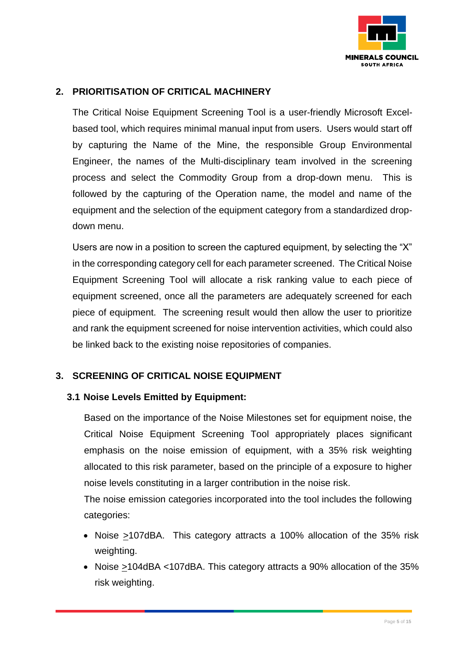

### **2. PRIORITISATION OF CRITICAL MACHINERY**

The Critical Noise Equipment Screening Tool is a user-friendly Microsoft Excelbased tool, which requires minimal manual input from users. Users would start off by capturing the Name of the Mine, the responsible Group Environmental Engineer, the names of the Multi-disciplinary team involved in the screening process and select the Commodity Group from a drop-down menu. This is followed by the capturing of the Operation name, the model and name of the equipment and the selection of the equipment category from a standardized dropdown menu.

Users are now in a position to screen the captured equipment, by selecting the "X" in the corresponding category cell for each parameter screened. The Critical Noise Equipment Screening Tool will allocate a risk ranking value to each piece of equipment screened, once all the parameters are adequately screened for each piece of equipment. The screening result would then allow the user to prioritize and rank the equipment screened for noise intervention activities, which could also be linked back to the existing noise repositories of companies.

### **3. SCREENING OF CRITICAL NOISE EQUIPMENT**

### **3.1 Noise Levels Emitted by Equipment:**

Based on the importance of the Noise Milestones set for equipment noise, the Critical Noise Equipment Screening Tool appropriately places significant emphasis on the noise emission of equipment, with a 35% risk weighting allocated to this risk parameter, based on the principle of a exposure to higher noise levels constituting in a larger contribution in the noise risk.

The noise emission categories incorporated into the tool includes the following categories:

- Noise >107dBA. This category attracts a 100% allocation of the 35% risk weighting.
- Noise  $\geq$ 104dBA <107dBA. This category attracts a 90% allocation of the 35% risk weighting.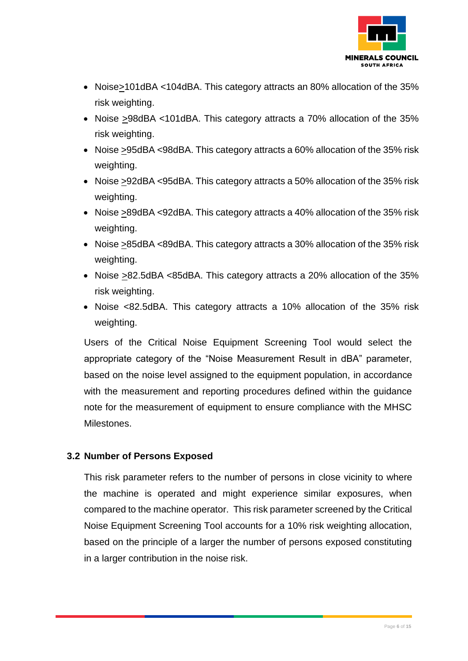

- Noise>101dBA <104dBA. This category attracts an 80% allocation of the 35% risk weighting.
- Noise >98dBA <101dBA. This category attracts a 70% allocation of the 35% risk weighting.
- Noise  $\geq$ 95dBA <98dBA. This category attracts a 60% allocation of the 35% risk weighting.
- Noise >92dBA <95dBA. This category attracts a 50% allocation of the 35% risk weighting.
- Noise >89dBA <92dBA. This category attracts a 40% allocation of the 35% risk weighting.
- Noise >85dBA <89dBA. This category attracts a 30% allocation of the 35% risk weighting.
- Noise >82.5dBA <85dBA. This category attracts a 20% allocation of the 35% risk weighting.
- Noise <82.5dBA. This category attracts a 10% allocation of the 35% risk weighting.

Users of the Critical Noise Equipment Screening Tool would select the appropriate category of the "Noise Measurement Result in dBA" parameter, based on the noise level assigned to the equipment population, in accordance with the measurement and reporting procedures defined within the guidance note for the measurement of equipment to ensure compliance with the MHSC **Milestones** 

### **3.2 Number of Persons Exposed**

This risk parameter refers to the number of persons in close vicinity to where the machine is operated and might experience similar exposures, when compared to the machine operator. This risk parameter screened by the Critical Noise Equipment Screening Tool accounts for a 10% risk weighting allocation, based on the principle of a larger the number of persons exposed constituting in a larger contribution in the noise risk.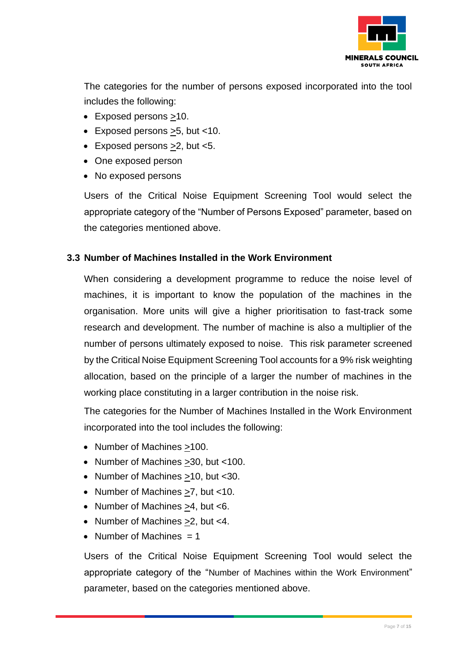

The categories for the number of persons exposed incorporated into the tool includes the following:

- Exposed persons >10.
- Exposed persons >5, but <10.
- Exposed persons >2, but <5.
- One exposed person
- No exposed persons

Users of the Critical Noise Equipment Screening Tool would select the appropriate category of the "Number of Persons Exposed" parameter, based on the categories mentioned above.

### **3.3 Number of Machines Installed in the Work Environment**

When considering a development programme to reduce the noise level of machines, it is important to know the population of the machines in the organisation. More units will give a higher prioritisation to fast-track some research and development. The number of machine is also a multiplier of the number of persons ultimately exposed to noise. This risk parameter screened by the Critical Noise Equipment Screening Tool accounts for a 9% risk weighting allocation, based on the principle of a larger the number of machines in the working place constituting in a larger contribution in the noise risk.

The categories for the Number of Machines Installed in the Work Environment incorporated into the tool includes the following:

- Number of Machines  $\geq 100$ .
- Number of Machines >30, but <100.
- Number of Machines >10, but <30.
- Number of Machines >7, but <10.
- Number of Machines >4, but <6.
- Number of Machines >2, but <4.
- Number of Machines  $= 1$

Users of the Critical Noise Equipment Screening Tool would select the appropriate category of the "Number of Machines within the Work Environment" parameter, based on the categories mentioned above.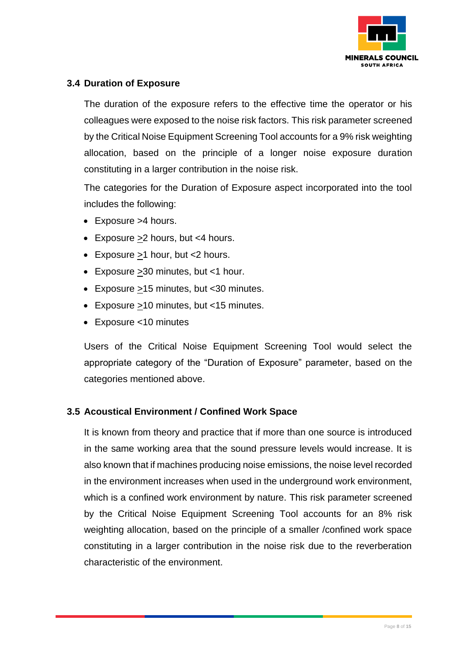

## **3.4 Duration of Exposure**

The duration of the exposure refers to the effective time the operator or his colleagues were exposed to the noise risk factors. This risk parameter screened by the Critical Noise Equipment Screening Tool accounts for a 9% risk weighting allocation, based on the principle of a longer noise exposure duration constituting in a larger contribution in the noise risk.

The categories for the Duration of Exposure aspect incorporated into the tool includes the following:

- Exposure >4 hours.
- Exposure  $\geq 2$  hours, but <4 hours.
- Exposure >1 hour, but <2 hours.
- Exposure >30 minutes, but <1 hour.
- Exposure >15 minutes, but <30 minutes.
- Exposure >10 minutes, but <15 minutes.
- Exposure <10 minutes

Users of the Critical Noise Equipment Screening Tool would select the appropriate category of the "Duration of Exposure" parameter, based on the categories mentioned above.

### **3.5 Acoustical Environment / Confined Work Space**

It is known from theory and practice that if more than one source is introduced in the same working area that the sound pressure levels would increase. It is also known that if machines producing noise emissions, the noise level recorded in the environment increases when used in the underground work environment, which is a confined work environment by nature. This risk parameter screened by the Critical Noise Equipment Screening Tool accounts for an 8% risk weighting allocation, based on the principle of a smaller /confined work space constituting in a larger contribution in the noise risk due to the reverberation characteristic of the environment.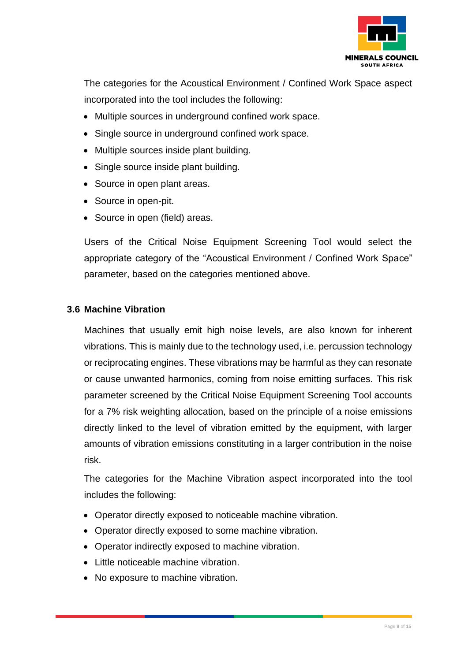

The categories for the Acoustical Environment / Confined Work Space aspect incorporated into the tool includes the following:

- Multiple sources in underground confined work space.
- Single source in underground confined work space.
- Multiple sources inside plant building.
- Single source inside plant building.
- Source in open plant areas.
- Source in open-pit.
- Source in open (field) areas.

Users of the Critical Noise Equipment Screening Tool would select the appropriate category of the "Acoustical Environment / Confined Work Space" parameter, based on the categories mentioned above.

### **3.6 Machine Vibration**

Machines that usually emit high noise levels, are also known for inherent vibrations. This is mainly due to the technology used, i.e. percussion technology or reciprocating engines. These vibrations may be harmful as they can resonate or cause unwanted harmonics, coming from noise emitting surfaces. This risk parameter screened by the Critical Noise Equipment Screening Tool accounts for a 7% risk weighting allocation, based on the principle of a noise emissions directly linked to the level of vibration emitted by the equipment, with larger amounts of vibration emissions constituting in a larger contribution in the noise risk.

The categories for the Machine Vibration aspect incorporated into the tool includes the following:

- Operator directly exposed to noticeable machine vibration.
- Operator directly exposed to some machine vibration.
- Operator indirectly exposed to machine vibration.
- Little noticeable machine vibration.
- No exposure to machine vibration.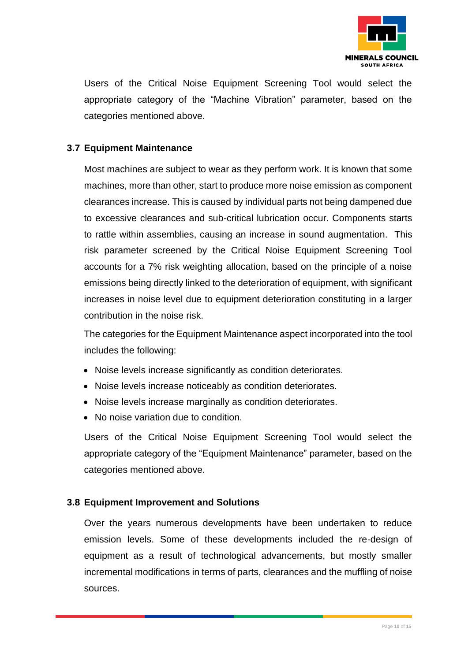

Users of the Critical Noise Equipment Screening Tool would select the appropriate category of the "Machine Vibration" parameter, based on the categories mentioned above.

### **3.7 Equipment Maintenance**

Most machines are subject to wear as they perform work. It is known that some machines, more than other, start to produce more noise emission as component clearances increase. This is caused by individual parts not being dampened due to excessive clearances and sub-critical lubrication occur. Components starts to rattle within assemblies, causing an increase in sound augmentation. This risk parameter screened by the Critical Noise Equipment Screening Tool accounts for a 7% risk weighting allocation, based on the principle of a noise emissions being directly linked to the deterioration of equipment, with significant increases in noise level due to equipment deterioration constituting in a larger contribution in the noise risk.

The categories for the Equipment Maintenance aspect incorporated into the tool includes the following:

- Noise levels increase significantly as condition deteriorates.
- Noise levels increase noticeably as condition deteriorates.
- Noise levels increase marginally as condition deteriorates.
- No noise variation due to condition.

Users of the Critical Noise Equipment Screening Tool would select the appropriate category of the "Equipment Maintenance" parameter, based on the categories mentioned above.

#### **3.8 Equipment Improvement and Solutions**

Over the years numerous developments have been undertaken to reduce emission levels. Some of these developments included the re-design of equipment as a result of technological advancements, but mostly smaller incremental modifications in terms of parts, clearances and the muffling of noise sources.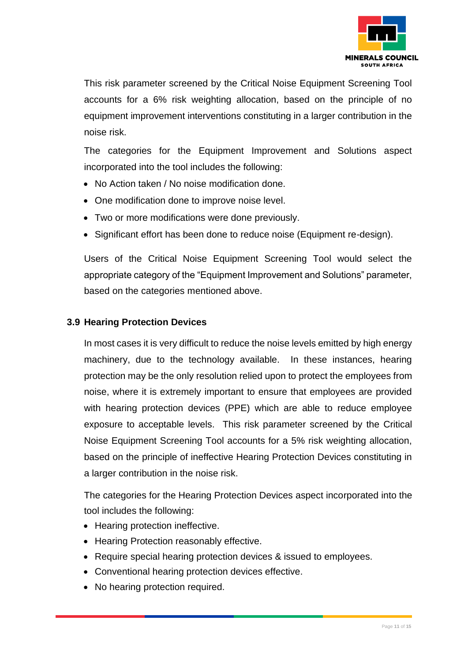

This risk parameter screened by the Critical Noise Equipment Screening Tool accounts for a 6% risk weighting allocation, based on the principle of no equipment improvement interventions constituting in a larger contribution in the noise risk.

The categories for the Equipment Improvement and Solutions aspect incorporated into the tool includes the following:

- No Action taken / No noise modification done.
- One modification done to improve noise level.
- Two or more modifications were done previously.
- Significant effort has been done to reduce noise (Equipment re-design).

Users of the Critical Noise Equipment Screening Tool would select the appropriate category of the "Equipment Improvement and Solutions" parameter, based on the categories mentioned above.

### **3.9 Hearing Protection Devices**

In most cases it is very difficult to reduce the noise levels emitted by high energy machinery, due to the technology available. In these instances, hearing protection may be the only resolution relied upon to protect the employees from noise, where it is extremely important to ensure that employees are provided with hearing protection devices (PPE) which are able to reduce employee exposure to acceptable levels. This risk parameter screened by the Critical Noise Equipment Screening Tool accounts for a 5% risk weighting allocation, based on the principle of ineffective Hearing Protection Devices constituting in a larger contribution in the noise risk.

The categories for the Hearing Protection Devices aspect incorporated into the tool includes the following:

- Hearing protection ineffective.
- Hearing Protection reasonably effective.
- Require special hearing protection devices & issued to employees.
- Conventional hearing protection devices effective.
- No hearing protection required.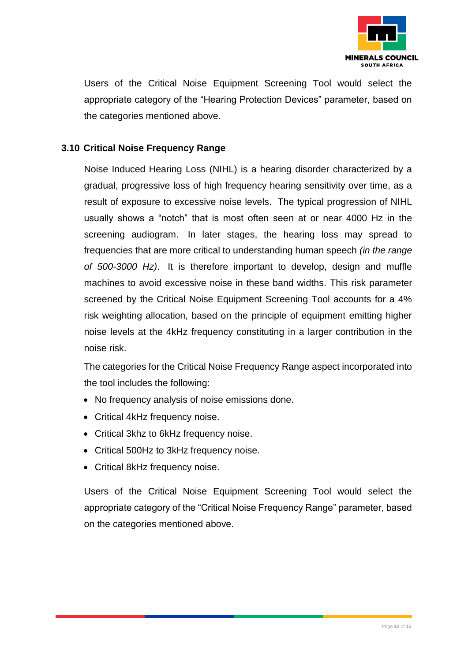

Users of the Critical Noise Equipment Screening Tool would select the appropriate category of the "Hearing Protection Devices" parameter, based on the categories mentioned above.

## **3.10 Critical Noise Frequency Range**

Noise Induced Hearing Loss (NIHL) is a hearing disorder characterized by a gradual, progressive loss of high frequency hearing sensitivity over time, as a result of exposure to excessive noise levels. The typical progression of NIHL usually shows a "notch" that is most often seen at or near 4000 Hz in the screening audiogram. In later stages, the hearing loss may spread to frequencies that are more critical to understanding human speech *(in the range of 500-3000 Hz)*. It is therefore important to develop, design and muffle machines to avoid excessive noise in these band widths. This risk parameter screened by the Critical Noise Equipment Screening Tool accounts for a 4% risk weighting allocation, based on the principle of equipment emitting higher noise levels at the 4kHz frequency constituting in a larger contribution in the noise risk.

The categories for the Critical Noise Frequency Range aspect incorporated into the tool includes the following:

- No frequency analysis of noise emissions done.
- Critical 4kHz frequency noise.
- Critical 3khz to 6kHz frequency noise.
- Critical 500Hz to 3kHz frequency noise.
- Critical 8kHz frequency noise.

Users of the Critical Noise Equipment Screening Tool would select the appropriate category of the "Critical Noise Frequency Range" parameter, based on the categories mentioned above.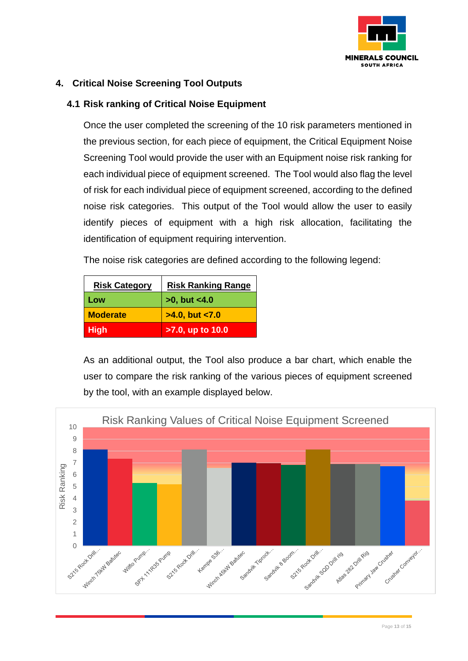

# **4. Critical Noise Screening Tool Outputs**

### **4.1 Risk ranking of Critical Noise Equipment**

Once the user completed the screening of the 10 risk parameters mentioned in the previous section, for each piece of equipment, the Critical Equipment Noise Screening Tool would provide the user with an Equipment noise risk ranking for each individual piece of equipment screened. The Tool would also flag the level of risk for each individual piece of equipment screened, according to the defined noise risk categories. This output of the Tool would allow the user to easily identify pieces of equipment with a high risk allocation, facilitating the identification of equipment requiring intervention.

The noise risk categories are defined according to the following legend:

| <b>Risk Category</b> | <b>Risk Ranking Range</b> |
|----------------------|---------------------------|
| Low                  | $>0$ , but $< 4.0$        |
| <b>Moderate</b>      | $>4.0$ , but $< 7.0$      |
| <b>High</b>          | >7.0, up to 10.0          |

As an additional output, the Tool also produce a bar chart, which enable the user to compare the risk ranking of the various pieces of equipment screened by the tool, with an example displayed below.

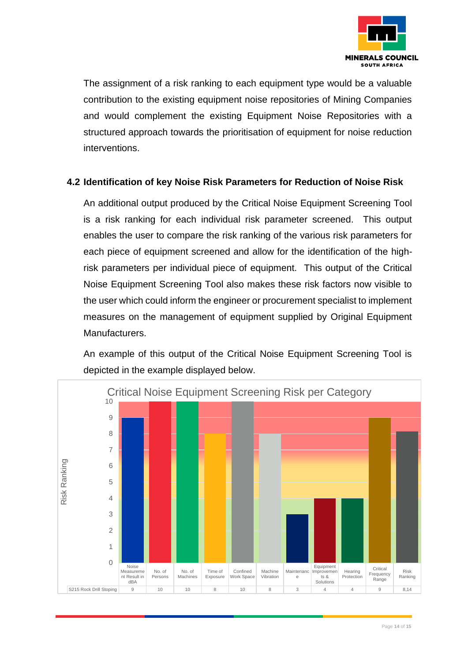

The assignment of a risk ranking to each equipment type would be a valuable contribution to the existing equipment noise repositories of Mining Companies and would complement the existing Equipment Noise Repositories with a structured approach towards the prioritisation of equipment for noise reduction interventions.

### **4.2 Identification of key Noise Risk Parameters for Reduction of Noise Risk**

An additional output produced by the Critical Noise Equipment Screening Tool is a risk ranking for each individual risk parameter screened. This output enables the user to compare the risk ranking of the various risk parameters for each piece of equipment screened and allow for the identification of the highrisk parameters per individual piece of equipment. This output of the Critical Noise Equipment Screening Tool also makes these risk factors now visible to the user which could inform the engineer or procurement specialist to implement measures on the management of equipment supplied by Original Equipment Manufacturers.

An example of this output of the Critical Noise Equipment Screening Tool is depicted in the example displayed below.